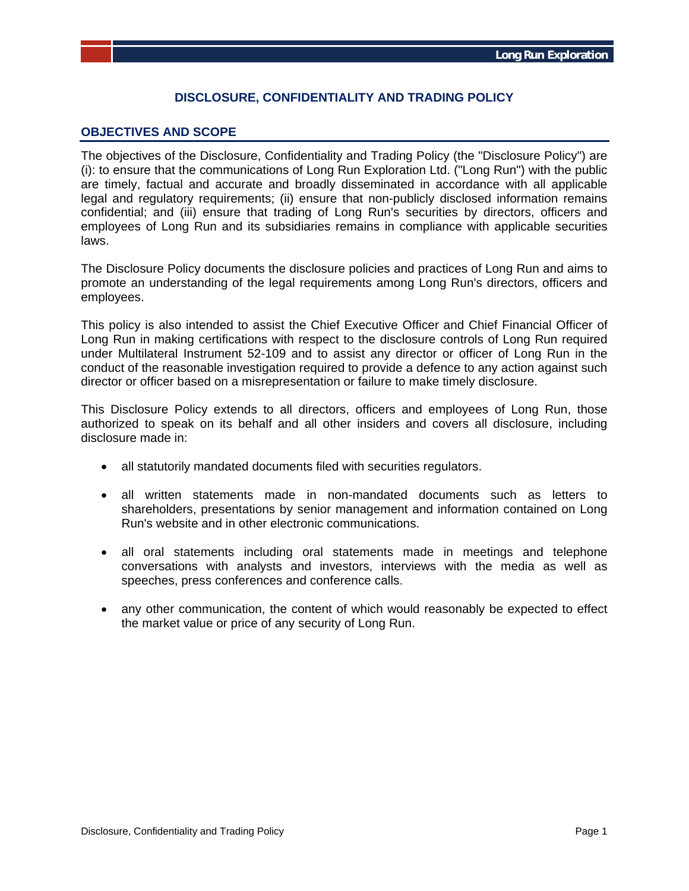# **DISCLOSURE, CONFIDENTIALITY AND TRADING POLICY**

#### **OBJECTIVES AND SCOPE**

The objectives of the Disclosure, Confidentiality and Trading Policy (the "Disclosure Policy") are (i): to ensure that the communications of Long Run Exploration Ltd. ("Long Run") with the public are timely, factual and accurate and broadly disseminated in accordance with all applicable legal and regulatory requirements; (ii) ensure that non-publicly disclosed information remains confidential; and (iii) ensure that trading of Long Run's securities by directors, officers and employees of Long Run and its subsidiaries remains in compliance with applicable securities laws.

The Disclosure Policy documents the disclosure policies and practices of Long Run and aims to promote an understanding of the legal requirements among Long Run's directors, officers and employees.

This policy is also intended to assist the Chief Executive Officer and Chief Financial Officer of Long Run in making certifications with respect to the disclosure controls of Long Run required under Multilateral Instrument 52-109 and to assist any director or officer of Long Run in the conduct of the reasonable investigation required to provide a defence to any action against such director or officer based on a misrepresentation or failure to make timely disclosure.

This Disclosure Policy extends to all directors, officers and employees of Long Run, those authorized to speak on its behalf and all other insiders and covers all disclosure, including disclosure made in:

- all statutorily mandated documents filed with securities regulators.
- all written statements made in non-mandated documents such as letters to shareholders, presentations by senior management and information contained on Long Run's website and in other electronic communications.
- all oral statements including oral statements made in meetings and telephone conversations with analysts and investors, interviews with the media as well as speeches, press conferences and conference calls.
- any other communication, the content of which would reasonably be expected to effect the market value or price of any security of Long Run.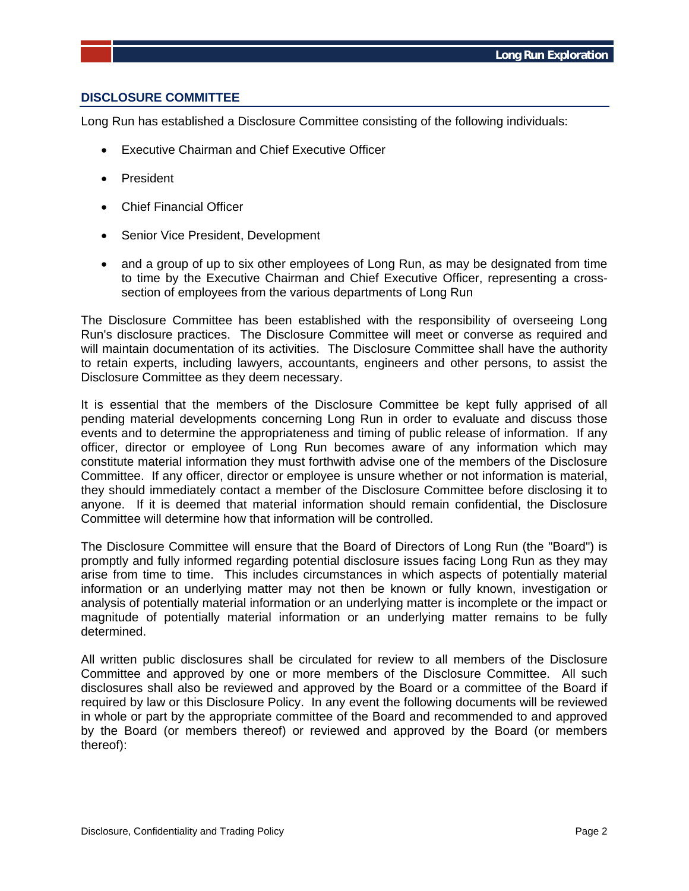# **DISCLOSURE COMMITTEE**

Long Run has established a Disclosure Committee consisting of the following individuals:

- Executive Chairman and Chief Executive Officer
- President
- Chief Financial Officer
- Senior Vice President, Development
- and a group of up to six other employees of Long Run, as may be designated from time to time by the Executive Chairman and Chief Executive Officer, representing a crosssection of employees from the various departments of Long Run

The Disclosure Committee has been established with the responsibility of overseeing Long Run's disclosure practices. The Disclosure Committee will meet or converse as required and will maintain documentation of its activities. The Disclosure Committee shall have the authority to retain experts, including lawyers, accountants, engineers and other persons, to assist the Disclosure Committee as they deem necessary.

It is essential that the members of the Disclosure Committee be kept fully apprised of all pending material developments concerning Long Run in order to evaluate and discuss those events and to determine the appropriateness and timing of public release of information. If any officer, director or employee of Long Run becomes aware of any information which may constitute material information they must forthwith advise one of the members of the Disclosure Committee. If any officer, director or employee is unsure whether or not information is material, they should immediately contact a member of the Disclosure Committee before disclosing it to anyone. If it is deemed that material information should remain confidential, the Disclosure Committee will determine how that information will be controlled.

The Disclosure Committee will ensure that the Board of Directors of Long Run (the "Board") is promptly and fully informed regarding potential disclosure issues facing Long Run as they may arise from time to time. This includes circumstances in which aspects of potentially material information or an underlying matter may not then be known or fully known, investigation or analysis of potentially material information or an underlying matter is incomplete or the impact or magnitude of potentially material information or an underlying matter remains to be fully determined.

All written public disclosures shall be circulated for review to all members of the Disclosure Committee and approved by one or more members of the Disclosure Committee. All such disclosures shall also be reviewed and approved by the Board or a committee of the Board if required by law or this Disclosure Policy. In any event the following documents will be reviewed in whole or part by the appropriate committee of the Board and recommended to and approved by the Board (or members thereof) or reviewed and approved by the Board (or members thereof):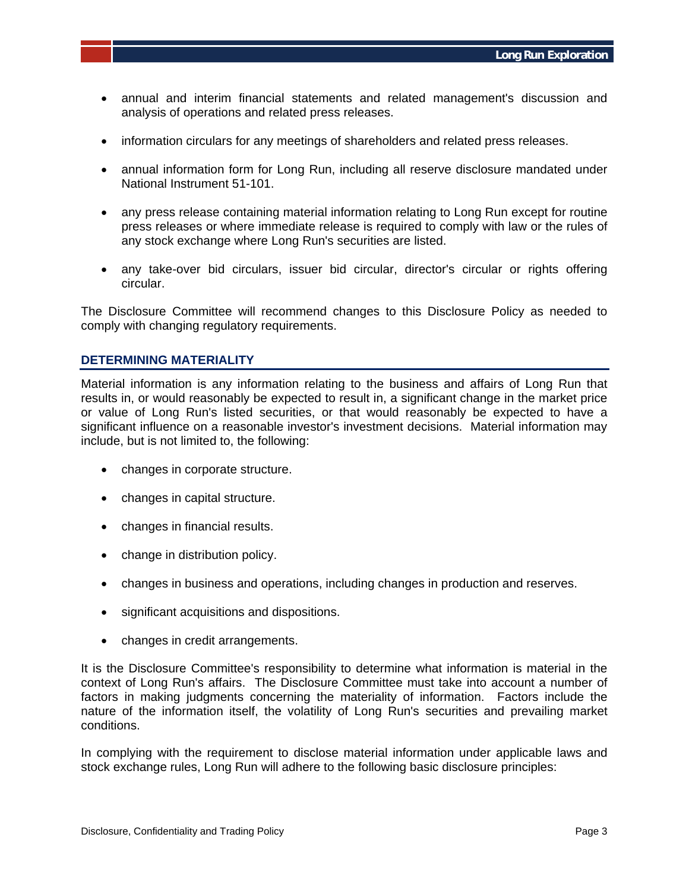- annual and interim financial statements and related management's discussion and analysis of operations and related press releases.
- information circulars for any meetings of shareholders and related press releases.
- annual information form for Long Run, including all reserve disclosure mandated under National Instrument 51-101.
- any press release containing material information relating to Long Run except for routine press releases or where immediate release is required to comply with law or the rules of any stock exchange where Long Run's securities are listed.
- any take-over bid circulars, issuer bid circular, director's circular or rights offering circular.

The Disclosure Committee will recommend changes to this Disclosure Policy as needed to comply with changing regulatory requirements.

#### **DETERMINING MATERIALITY**

Material information is any information relating to the business and affairs of Long Run that results in, or would reasonably be expected to result in, a significant change in the market price or value of Long Run's listed securities, or that would reasonably be expected to have a significant influence on a reasonable investor's investment decisions. Material information may include, but is not limited to, the following:

- changes in corporate structure.
- changes in capital structure.
- changes in financial results.
- change in distribution policy.
- changes in business and operations, including changes in production and reserves.
- significant acquisitions and dispositions.
- changes in credit arrangements.

It is the Disclosure Committee's responsibility to determine what information is material in the context of Long Run's affairs. The Disclosure Committee must take into account a number of factors in making judgments concerning the materiality of information. Factors include the nature of the information itself, the volatility of Long Run's securities and prevailing market conditions.

In complying with the requirement to disclose material information under applicable laws and stock exchange rules, Long Run will adhere to the following basic disclosure principles: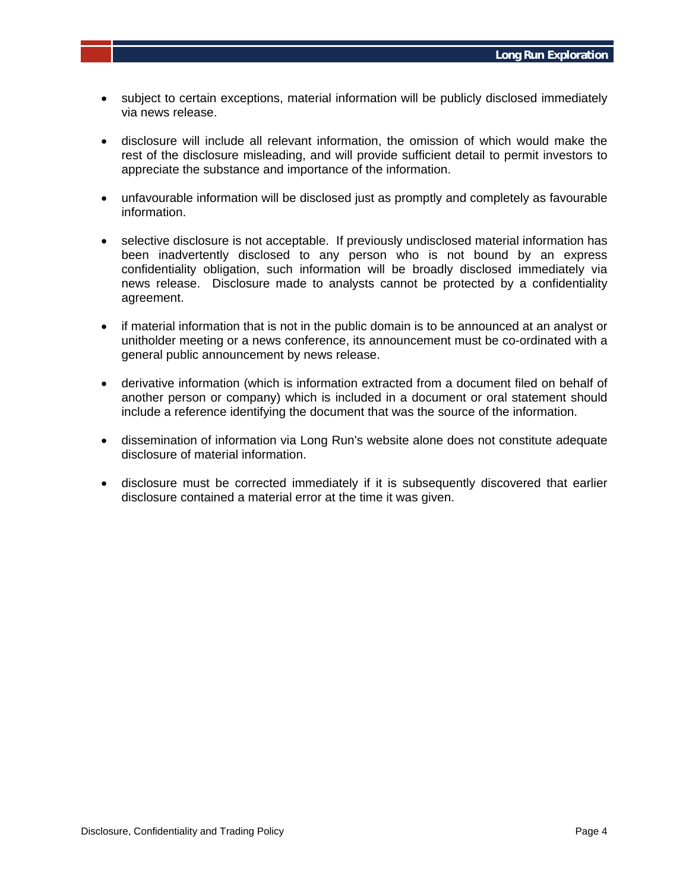- subject to certain exceptions, material information will be publicly disclosed immediately via news release.
- disclosure will include all relevant information, the omission of which would make the rest of the disclosure misleading, and will provide sufficient detail to permit investors to appreciate the substance and importance of the information.
- unfavourable information will be disclosed just as promptly and completely as favourable information.
- selective disclosure is not acceptable. If previously undisclosed material information has been inadvertently disclosed to any person who is not bound by an express confidentiality obligation, such information will be broadly disclosed immediately via news release. Disclosure made to analysts cannot be protected by a confidentiality agreement.
- if material information that is not in the public domain is to be announced at an analyst or unitholder meeting or a news conference, its announcement must be co-ordinated with a general public announcement by news release.
- derivative information (which is information extracted from a document filed on behalf of another person or company) which is included in a document or oral statement should include a reference identifying the document that was the source of the information.
- dissemination of information via Long Run's website alone does not constitute adequate disclosure of material information.
- disclosure must be corrected immediately if it is subsequently discovered that earlier disclosure contained a material error at the time it was given.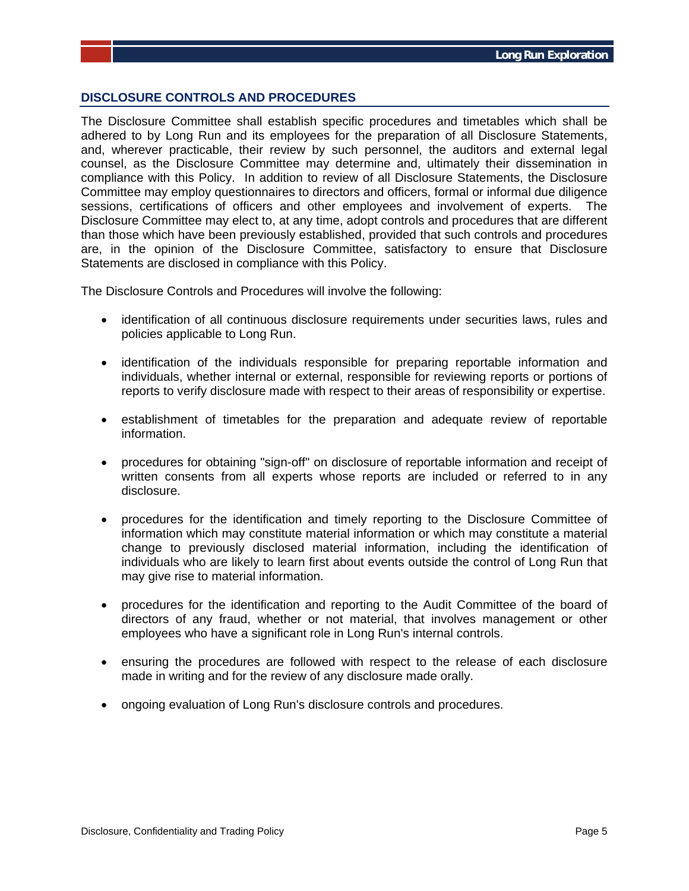# **DISCLOSURE CONTROLS AND PROCEDURES**

The Disclosure Committee shall establish specific procedures and timetables which shall be adhered to by Long Run and its employees for the preparation of all Disclosure Statements, and, wherever practicable, their review by such personnel, the auditors and external legal counsel, as the Disclosure Committee may determine and, ultimately their dissemination in compliance with this Policy. In addition to review of all Disclosure Statements, the Disclosure Committee may employ questionnaires to directors and officers, formal or informal due diligence sessions, certifications of officers and other employees and involvement of experts. The Disclosure Committee may elect to, at any time, adopt controls and procedures that are different than those which have been previously established, provided that such controls and procedures are, in the opinion of the Disclosure Committee, satisfactory to ensure that Disclosure Statements are disclosed in compliance with this Policy.

The Disclosure Controls and Procedures will involve the following:

- identification of all continuous disclosure requirements under securities laws, rules and policies applicable to Long Run.
- identification of the individuals responsible for preparing reportable information and individuals, whether internal or external, responsible for reviewing reports or portions of reports to verify disclosure made with respect to their areas of responsibility or expertise.
- establishment of timetables for the preparation and adequate review of reportable information.
- procedures for obtaining "sign-off" on disclosure of reportable information and receipt of written consents from all experts whose reports are included or referred to in any disclosure.
- procedures for the identification and timely reporting to the Disclosure Committee of information which may constitute material information or which may constitute a material change to previously disclosed material information, including the identification of individuals who are likely to learn first about events outside the control of Long Run that may give rise to material information.
- procedures for the identification and reporting to the Audit Committee of the board of directors of any fraud, whether or not material, that involves management or other employees who have a significant role in Long Run's internal controls.
- ensuring the procedures are followed with respect to the release of each disclosure made in writing and for the review of any disclosure made orally.
- ongoing evaluation of Long Run's disclosure controls and procedures.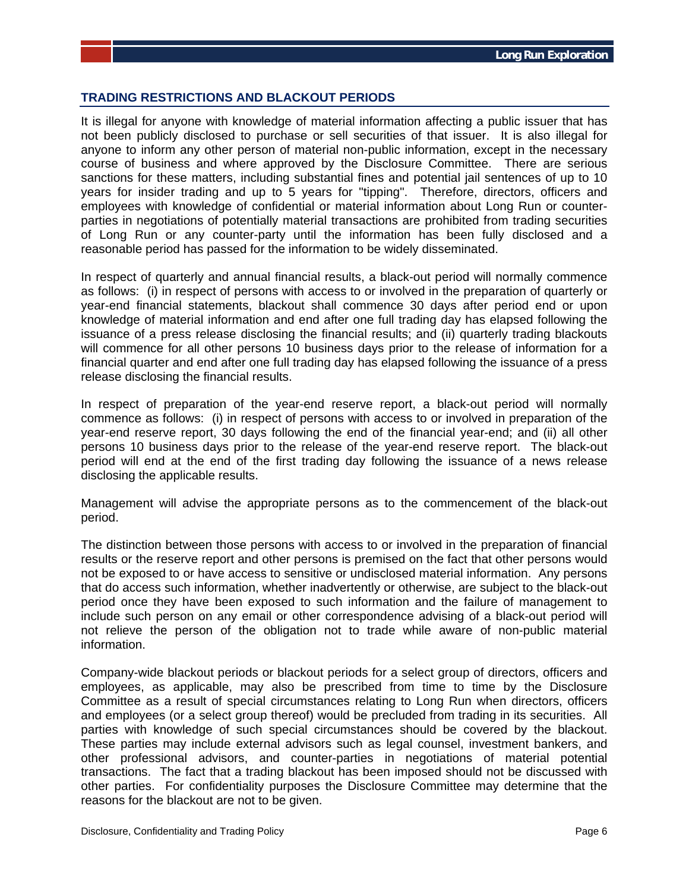# **TRADING RESTRICTIONS AND BLACKOUT PERIODS**

It is illegal for anyone with knowledge of material information affecting a public issuer that has not been publicly disclosed to purchase or sell securities of that issuer. It is also illegal for anyone to inform any other person of material non-public information, except in the necessary course of business and where approved by the Disclosure Committee. There are serious sanctions for these matters, including substantial fines and potential jail sentences of up to 10 years for insider trading and up to 5 years for "tipping". Therefore, directors, officers and employees with knowledge of confidential or material information about Long Run or counterparties in negotiations of potentially material transactions are prohibited from trading securities of Long Run or any counter-party until the information has been fully disclosed and a reasonable period has passed for the information to be widely disseminated.

In respect of quarterly and annual financial results, a black-out period will normally commence as follows: (i) in respect of persons with access to or involved in the preparation of quarterly or year-end financial statements, blackout shall commence 30 days after period end or upon knowledge of material information and end after one full trading day has elapsed following the issuance of a press release disclosing the financial results; and (ii) quarterly trading blackouts will commence for all other persons 10 business days prior to the release of information for a financial quarter and end after one full trading day has elapsed following the issuance of a press release disclosing the financial results.

In respect of preparation of the year-end reserve report, a black-out period will normally commence as follows: (i) in respect of persons with access to or involved in preparation of the year-end reserve report, 30 days following the end of the financial year-end; and (ii) all other persons 10 business days prior to the release of the year-end reserve report. The black-out period will end at the end of the first trading day following the issuance of a news release disclosing the applicable results.

Management will advise the appropriate persons as to the commencement of the black-out period.

The distinction between those persons with access to or involved in the preparation of financial results or the reserve report and other persons is premised on the fact that other persons would not be exposed to or have access to sensitive or undisclosed material information. Any persons that do access such information, whether inadvertently or otherwise, are subject to the black-out period once they have been exposed to such information and the failure of management to include such person on any email or other correspondence advising of a black-out period will not relieve the person of the obligation not to trade while aware of non-public material information.

Company-wide blackout periods or blackout periods for a select group of directors, officers and employees, as applicable, may also be prescribed from time to time by the Disclosure Committee as a result of special circumstances relating to Long Run when directors, officers and employees (or a select group thereof) would be precluded from trading in its securities. All parties with knowledge of such special circumstances should be covered by the blackout. These parties may include external advisors such as legal counsel, investment bankers, and other professional advisors, and counter-parties in negotiations of material potential transactions. The fact that a trading blackout has been imposed should not be discussed with other parties. For confidentiality purposes the Disclosure Committee may determine that the reasons for the blackout are not to be given.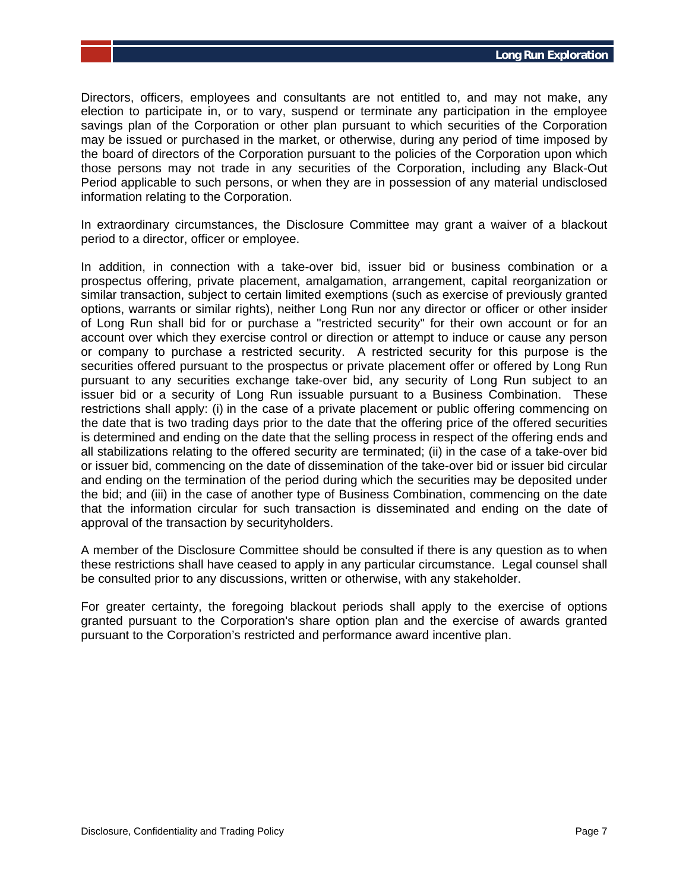Directors, officers, employees and consultants are not entitled to, and may not make, any election to participate in, or to vary, suspend or terminate any participation in the employee savings plan of the Corporation or other plan pursuant to which securities of the Corporation may be issued or purchased in the market, or otherwise, during any period of time imposed by the board of directors of the Corporation pursuant to the policies of the Corporation upon which those persons may not trade in any securities of the Corporation, including any Black-Out Period applicable to such persons, or when they are in possession of any material undisclosed information relating to the Corporation.

In extraordinary circumstances, the Disclosure Committee may grant a waiver of a blackout period to a director, officer or employee.

In addition, in connection with a take-over bid, issuer bid or business combination or a prospectus offering, private placement, amalgamation, arrangement, capital reorganization or similar transaction, subject to certain limited exemptions (such as exercise of previously granted options, warrants or similar rights), neither Long Run nor any director or officer or other insider of Long Run shall bid for or purchase a "restricted security" for their own account or for an account over which they exercise control or direction or attempt to induce or cause any person or company to purchase a restricted security. A restricted security for this purpose is the securities offered pursuant to the prospectus or private placement offer or offered by Long Run pursuant to any securities exchange take-over bid, any security of Long Run subject to an issuer bid or a security of Long Run issuable pursuant to a Business Combination. These restrictions shall apply: (i) in the case of a private placement or public offering commencing on the date that is two trading days prior to the date that the offering price of the offered securities is determined and ending on the date that the selling process in respect of the offering ends and all stabilizations relating to the offered security are terminated; (ii) in the case of a take-over bid or issuer bid, commencing on the date of dissemination of the take-over bid or issuer bid circular and ending on the termination of the period during which the securities may be deposited under the bid; and (iii) in the case of another type of Business Combination, commencing on the date that the information circular for such transaction is disseminated and ending on the date of approval of the transaction by securityholders.

A member of the Disclosure Committee should be consulted if there is any question as to when these restrictions shall have ceased to apply in any particular circumstance. Legal counsel shall be consulted prior to any discussions, written or otherwise, with any stakeholder.

For greater certainty, the foregoing blackout periods shall apply to the exercise of options granted pursuant to the Corporation's share option plan and the exercise of awards granted pursuant to the Corporation's restricted and performance award incentive plan.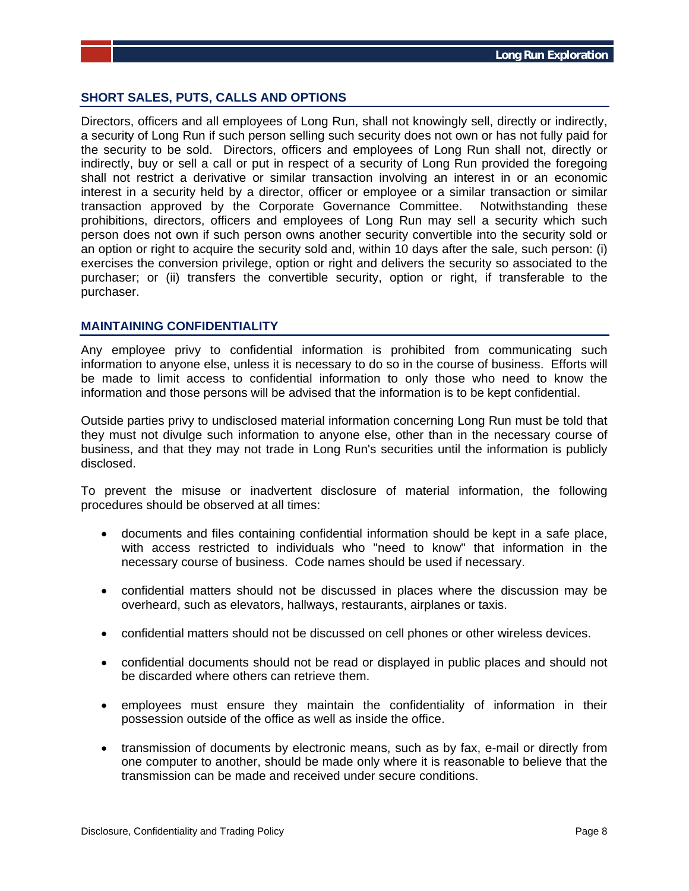# **SHORT SALES, PUTS, CALLS AND OPTIONS**

Directors, officers and all employees of Long Run, shall not knowingly sell, directly or indirectly, a security of Long Run if such person selling such security does not own or has not fully paid for the security to be sold. Directors, officers and employees of Long Run shall not, directly or indirectly, buy or sell a call or put in respect of a security of Long Run provided the foregoing shall not restrict a derivative or similar transaction involving an interest in or an economic interest in a security held by a director, officer or employee or a similar transaction or similar transaction approved by the Corporate Governance Committee. Notwithstanding these prohibitions, directors, officers and employees of Long Run may sell a security which such person does not own if such person owns another security convertible into the security sold or an option or right to acquire the security sold and, within 10 days after the sale, such person: (i) exercises the conversion privilege, option or right and delivers the security so associated to the purchaser; or (ii) transfers the convertible security, option or right, if transferable to the purchaser.

# **MAINTAINING CONFIDENTIALITY**

Any employee privy to confidential information is prohibited from communicating such information to anyone else, unless it is necessary to do so in the course of business. Efforts will be made to limit access to confidential information to only those who need to know the information and those persons will be advised that the information is to be kept confidential.

Outside parties privy to undisclosed material information concerning Long Run must be told that they must not divulge such information to anyone else, other than in the necessary course of business, and that they may not trade in Long Run's securities until the information is publicly disclosed.

To prevent the misuse or inadvertent disclosure of material information, the following procedures should be observed at all times:

- documents and files containing confidential information should be kept in a safe place, with access restricted to individuals who "need to know" that information in the necessary course of business. Code names should be used if necessary.
- confidential matters should not be discussed in places where the discussion may be overheard, such as elevators, hallways, restaurants, airplanes or taxis.
- confidential matters should not be discussed on cell phones or other wireless devices.
- confidential documents should not be read or displayed in public places and should not be discarded where others can retrieve them.
- employees must ensure they maintain the confidentiality of information in their possession outside of the office as well as inside the office.
- transmission of documents by electronic means, such as by fax, e-mail or directly from one computer to another, should be made only where it is reasonable to believe that the transmission can be made and received under secure conditions.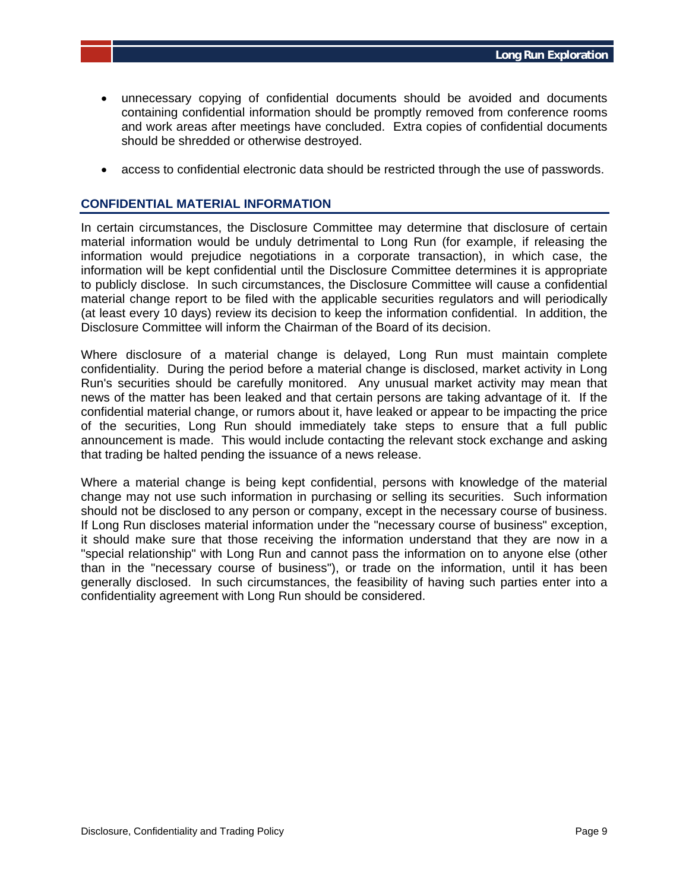- unnecessary copying of confidential documents should be avoided and documents containing confidential information should be promptly removed from conference rooms and work areas after meetings have concluded. Extra copies of confidential documents should be shredded or otherwise destroyed.
- access to confidential electronic data should be restricted through the use of passwords.

### **CONFIDENTIAL MATERIAL INFORMATION**

In certain circumstances, the Disclosure Committee may determine that disclosure of certain material information would be unduly detrimental to Long Run (for example, if releasing the information would prejudice negotiations in a corporate transaction), in which case, the information will be kept confidential until the Disclosure Committee determines it is appropriate to publicly disclose. In such circumstances, the Disclosure Committee will cause a confidential material change report to be filed with the applicable securities regulators and will periodically (at least every 10 days) review its decision to keep the information confidential. In addition, the Disclosure Committee will inform the Chairman of the Board of its decision.

Where disclosure of a material change is delayed, Long Run must maintain complete confidentiality. During the period before a material change is disclosed, market activity in Long Run's securities should be carefully monitored. Any unusual market activity may mean that news of the matter has been leaked and that certain persons are taking advantage of it. If the confidential material change, or rumors about it, have leaked or appear to be impacting the price of the securities, Long Run should immediately take steps to ensure that a full public announcement is made. This would include contacting the relevant stock exchange and asking that trading be halted pending the issuance of a news release.

Where a material change is being kept confidential, persons with knowledge of the material change may not use such information in purchasing or selling its securities. Such information should not be disclosed to any person or company, except in the necessary course of business. If Long Run discloses material information under the "necessary course of business" exception, it should make sure that those receiving the information understand that they are now in a "special relationship" with Long Run and cannot pass the information on to anyone else (other than in the "necessary course of business"), or trade on the information, until it has been generally disclosed. In such circumstances, the feasibility of having such parties enter into a confidentiality agreement with Long Run should be considered.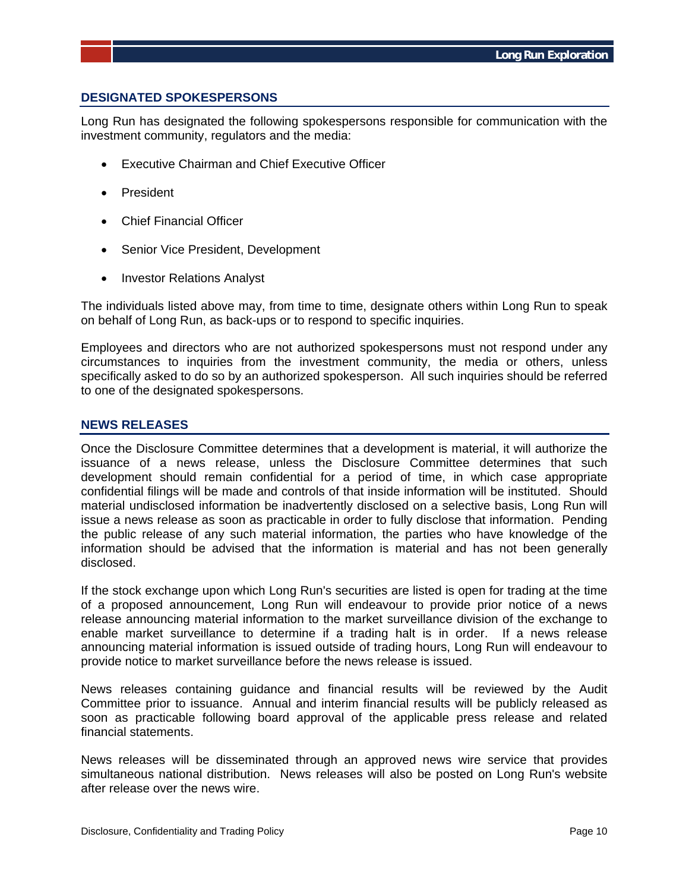# **DESIGNATED SPOKESPERSONS**

Long Run has designated the following spokespersons responsible for communication with the investment community, regulators and the media:

- Executive Chairman and Chief Executive Officer
- President
- Chief Financial Officer
- Senior Vice President, Development
- Investor Relations Analyst

The individuals listed above may, from time to time, designate others within Long Run to speak on behalf of Long Run, as back-ups or to respond to specific inquiries.

Employees and directors who are not authorized spokespersons must not respond under any circumstances to inquiries from the investment community, the media or others, unless specifically asked to do so by an authorized spokesperson. All such inquiries should be referred to one of the designated spokespersons.

#### **NEWS RELEASES**

Once the Disclosure Committee determines that a development is material, it will authorize the issuance of a news release, unless the Disclosure Committee determines that such development should remain confidential for a period of time, in which case appropriate confidential filings will be made and controls of that inside information will be instituted. Should material undisclosed information be inadvertently disclosed on a selective basis, Long Run will issue a news release as soon as practicable in order to fully disclose that information. Pending the public release of any such material information, the parties who have knowledge of the information should be advised that the information is material and has not been generally disclosed.

If the stock exchange upon which Long Run's securities are listed is open for trading at the time of a proposed announcement, Long Run will endeavour to provide prior notice of a news release announcing material information to the market surveillance division of the exchange to enable market surveillance to determine if a trading halt is in order. If a news release announcing material information is issued outside of trading hours, Long Run will endeavour to provide notice to market surveillance before the news release is issued.

News releases containing guidance and financial results will be reviewed by the Audit Committee prior to issuance. Annual and interim financial results will be publicly released as soon as practicable following board approval of the applicable press release and related financial statements.

News releases will be disseminated through an approved news wire service that provides simultaneous national distribution. News releases will also be posted on Long Run's website after release over the news wire.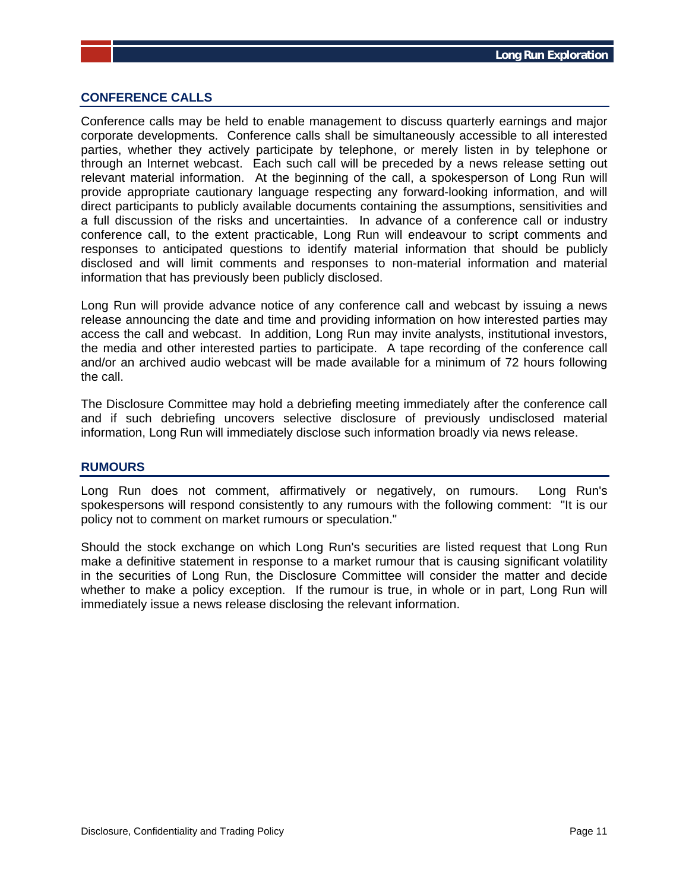### **CONFERENCE CALLS**

Conference calls may be held to enable management to discuss quarterly earnings and major corporate developments. Conference calls shall be simultaneously accessible to all interested parties, whether they actively participate by telephone, or merely listen in by telephone or through an Internet webcast. Each such call will be preceded by a news release setting out relevant material information. At the beginning of the call, a spokesperson of Long Run will provide appropriate cautionary language respecting any forward-looking information, and will direct participants to publicly available documents containing the assumptions, sensitivities and a full discussion of the risks and uncertainties. In advance of a conference call or industry conference call, to the extent practicable, Long Run will endeavour to script comments and responses to anticipated questions to identify material information that should be publicly disclosed and will limit comments and responses to non-material information and material information that has previously been publicly disclosed.

Long Run will provide advance notice of any conference call and webcast by issuing a news release announcing the date and time and providing information on how interested parties may access the call and webcast. In addition, Long Run may invite analysts, institutional investors, the media and other interested parties to participate. A tape recording of the conference call and/or an archived audio webcast will be made available for a minimum of 72 hours following the call.

The Disclosure Committee may hold a debriefing meeting immediately after the conference call and if such debriefing uncovers selective disclosure of previously undisclosed material information, Long Run will immediately disclose such information broadly via news release.

#### **RUMOURS**

Long Run does not comment, affirmatively or negatively, on rumours. Long Run's spokespersons will respond consistently to any rumours with the following comment: "It is our policy not to comment on market rumours or speculation."

Should the stock exchange on which Long Run's securities are listed request that Long Run make a definitive statement in response to a market rumour that is causing significant volatility in the securities of Long Run, the Disclosure Committee will consider the matter and decide whether to make a policy exception. If the rumour is true, in whole or in part, Long Run will immediately issue a news release disclosing the relevant information.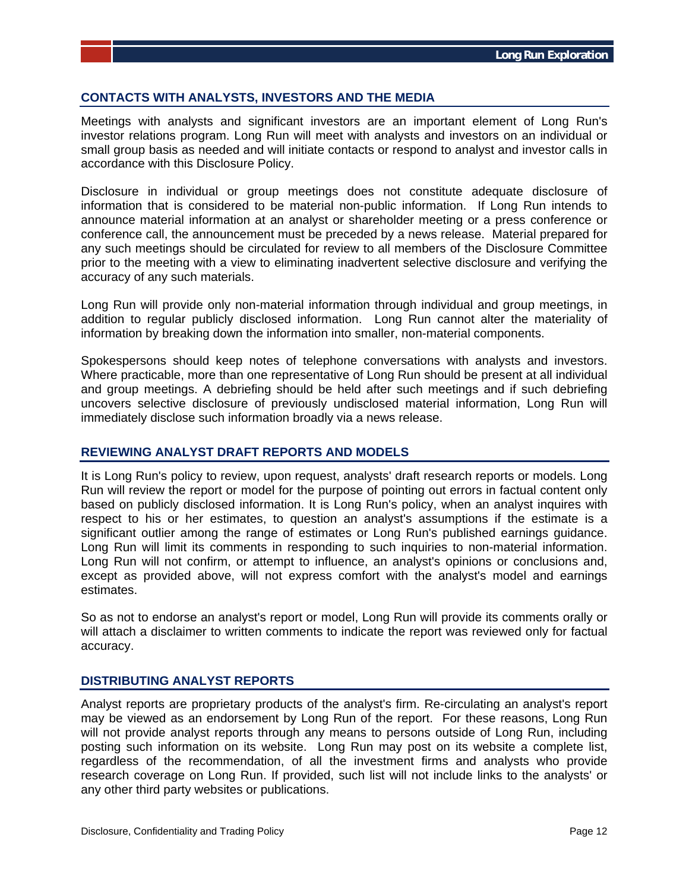# **CONTACTS WITH ANALYSTS, INVESTORS AND THE MEDIA**

Meetings with analysts and significant investors are an important element of Long Run's investor relations program. Long Run will meet with analysts and investors on an individual or small group basis as needed and will initiate contacts or respond to analyst and investor calls in accordance with this Disclosure Policy.

Disclosure in individual or group meetings does not constitute adequate disclosure of information that is considered to be material non-public information. If Long Run intends to announce material information at an analyst or shareholder meeting or a press conference or conference call, the announcement must be preceded by a news release. Material prepared for any such meetings should be circulated for review to all members of the Disclosure Committee prior to the meeting with a view to eliminating inadvertent selective disclosure and verifying the accuracy of any such materials.

Long Run will provide only non-material information through individual and group meetings, in addition to regular publicly disclosed information. Long Run cannot alter the materiality of information by breaking down the information into smaller, non-material components.

Spokespersons should keep notes of telephone conversations with analysts and investors. Where practicable, more than one representative of Long Run should be present at all individual and group meetings. A debriefing should be held after such meetings and if such debriefing uncovers selective disclosure of previously undisclosed material information, Long Run will immediately disclose such information broadly via a news release.

### **REVIEWING ANALYST DRAFT REPORTS AND MODELS**

It is Long Run's policy to review, upon request, analysts' draft research reports or models. Long Run will review the report or model for the purpose of pointing out errors in factual content only based on publicly disclosed information. It is Long Run's policy, when an analyst inquires with respect to his or her estimates, to question an analyst's assumptions if the estimate is a significant outlier among the range of estimates or Long Run's published earnings guidance. Long Run will limit its comments in responding to such inquiries to non-material information. Long Run will not confirm, or attempt to influence, an analyst's opinions or conclusions and, except as provided above, will not express comfort with the analyst's model and earnings estimates.

So as not to endorse an analyst's report or model, Long Run will provide its comments orally or will attach a disclaimer to written comments to indicate the report was reviewed only for factual accuracy.

# **DISTRIBUTING ANALYST REPORTS**

Analyst reports are proprietary products of the analyst's firm. Re-circulating an analyst's report may be viewed as an endorsement by Long Run of the report. For these reasons, Long Run will not provide analyst reports through any means to persons outside of Long Run, including posting such information on its website. Long Run may post on its website a complete list, regardless of the recommendation, of all the investment firms and analysts who provide research coverage on Long Run. If provided, such list will not include links to the analysts' or any other third party websites or publications.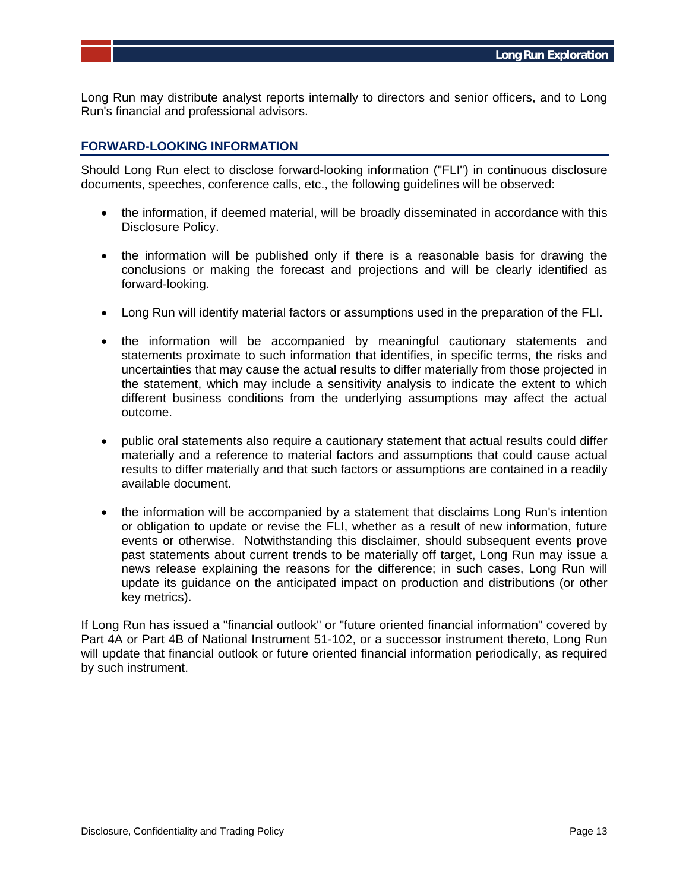Long Run may distribute analyst reports internally to directors and senior officers, and to Long Run's financial and professional advisors.

### **FORWARD-LOOKING INFORMATION**

Should Long Run elect to disclose forward-looking information ("FLI") in continuous disclosure documents, speeches, conference calls, etc., the following guidelines will be observed:

- the information, if deemed material, will be broadly disseminated in accordance with this Disclosure Policy.
- the information will be published only if there is a reasonable basis for drawing the conclusions or making the forecast and projections and will be clearly identified as forward-looking.
- Long Run will identify material factors or assumptions used in the preparation of the FLI.
- the information will be accompanied by meaningful cautionary statements and statements proximate to such information that identifies, in specific terms, the risks and uncertainties that may cause the actual results to differ materially from those projected in the statement, which may include a sensitivity analysis to indicate the extent to which different business conditions from the underlying assumptions may affect the actual outcome.
- public oral statements also require a cautionary statement that actual results could differ materially and a reference to material factors and assumptions that could cause actual results to differ materially and that such factors or assumptions are contained in a readily available document.
- the information will be accompanied by a statement that disclaims Long Run's intention or obligation to update or revise the FLI, whether as a result of new information, future events or otherwise. Notwithstanding this disclaimer, should subsequent events prove past statements about current trends to be materially off target, Long Run may issue a news release explaining the reasons for the difference; in such cases, Long Run will update its guidance on the anticipated impact on production and distributions (or other key metrics).

If Long Run has issued a "financial outlook" or "future oriented financial information" covered by Part 4A or Part 4B of National Instrument 51-102, or a successor instrument thereto, Long Run will update that financial outlook or future oriented financial information periodically, as required by such instrument.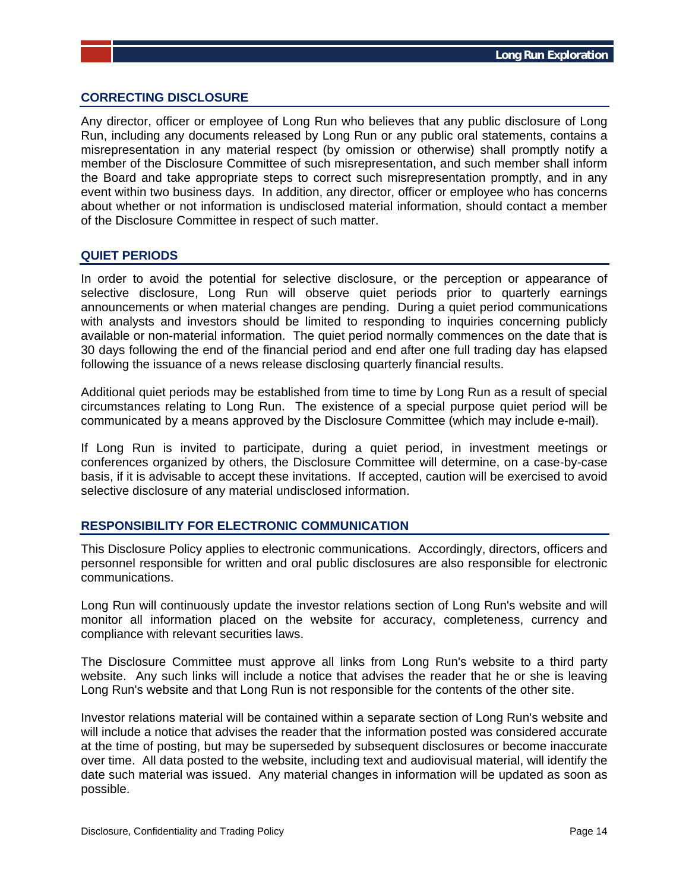### **CORRECTING DISCLOSURE**

Any director, officer or employee of Long Run who believes that any public disclosure of Long Run, including any documents released by Long Run or any public oral statements, contains a misrepresentation in any material respect (by omission or otherwise) shall promptly notify a member of the Disclosure Committee of such misrepresentation, and such member shall inform the Board and take appropriate steps to correct such misrepresentation promptly, and in any event within two business days. In addition, any director, officer or employee who has concerns about whether or not information is undisclosed material information, should contact a member of the Disclosure Committee in respect of such matter.

#### **QUIET PERIODS**

In order to avoid the potential for selective disclosure, or the perception or appearance of selective disclosure, Long Run will observe quiet periods prior to quarterly earnings announcements or when material changes are pending. During a quiet period communications with analysts and investors should be limited to responding to inquiries concerning publicly available or non-material information. The quiet period normally commences on the date that is 30 days following the end of the financial period and end after one full trading day has elapsed following the issuance of a news release disclosing quarterly financial results.

Additional quiet periods may be established from time to time by Long Run as a result of special circumstances relating to Long Run. The existence of a special purpose quiet period will be communicated by a means approved by the Disclosure Committee (which may include e-mail).

If Long Run is invited to participate, during a quiet period, in investment meetings or conferences organized by others, the Disclosure Committee will determine, on a case-by-case basis, if it is advisable to accept these invitations. If accepted, caution will be exercised to avoid selective disclosure of any material undisclosed information.

# **RESPONSIBILITY FOR ELECTRONIC COMMUNICATION**

This Disclosure Policy applies to electronic communications. Accordingly, directors, officers and personnel responsible for written and oral public disclosures are also responsible for electronic communications.

Long Run will continuously update the investor relations section of Long Run's website and will monitor all information placed on the website for accuracy, completeness, currency and compliance with relevant securities laws.

The Disclosure Committee must approve all links from Long Run's website to a third party website. Any such links will include a notice that advises the reader that he or she is leaving Long Run's website and that Long Run is not responsible for the contents of the other site.

Investor relations material will be contained within a separate section of Long Run's website and will include a notice that advises the reader that the information posted was considered accurate at the time of posting, but may be superseded by subsequent disclosures or become inaccurate over time. All data posted to the website, including text and audiovisual material, will identify the date such material was issued. Any material changes in information will be updated as soon as possible.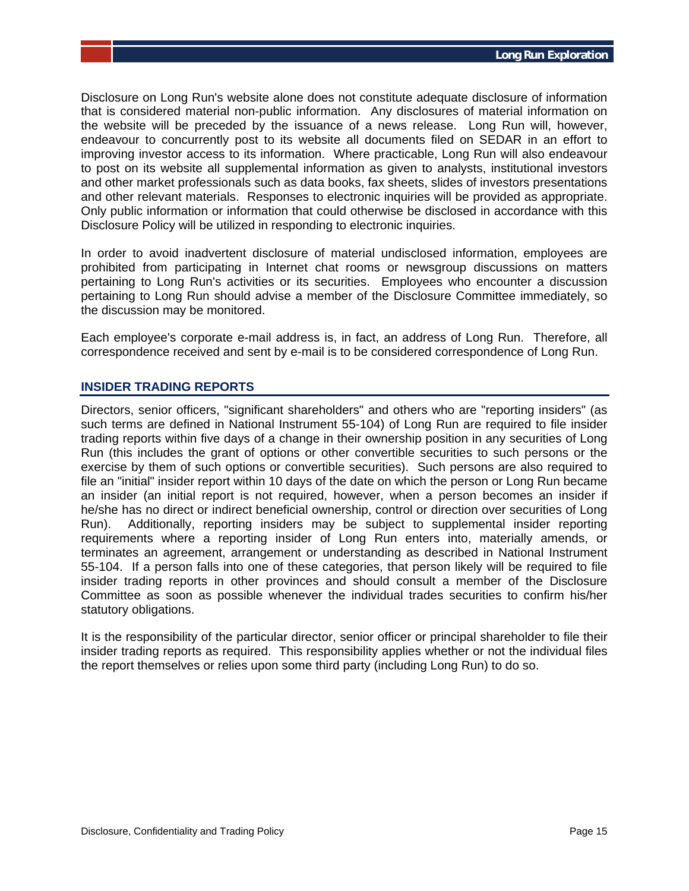Disclosure on Long Run's website alone does not constitute adequate disclosure of information that is considered material non-public information. Any disclosures of material information on the website will be preceded by the issuance of a news release. Long Run will, however, endeavour to concurrently post to its website all documents filed on SEDAR in an effort to improving investor access to its information. Where practicable, Long Run will also endeavour to post on its website all supplemental information as given to analysts, institutional investors and other market professionals such as data books, fax sheets, slides of investors presentations and other relevant materials. Responses to electronic inquiries will be provided as appropriate. Only public information or information that could otherwise be disclosed in accordance with this Disclosure Policy will be utilized in responding to electronic inquiries.

In order to avoid inadvertent disclosure of material undisclosed information, employees are prohibited from participating in Internet chat rooms or newsgroup discussions on matters pertaining to Long Run's activities or its securities. Employees who encounter a discussion pertaining to Long Run should advise a member of the Disclosure Committee immediately, so the discussion may be monitored.

Each employee's corporate e-mail address is, in fact, an address of Long Run. Therefore, all correspondence received and sent by e-mail is to be considered correspondence of Long Run.

# **INSIDER TRADING REPORTS**

Directors, senior officers, "significant shareholders" and others who are "reporting insiders" (as such terms are defined in National Instrument 55-104) of Long Run are required to file insider trading reports within five days of a change in their ownership position in any securities of Long Run (this includes the grant of options or other convertible securities to such persons or the exercise by them of such options or convertible securities). Such persons are also required to file an "initial" insider report within 10 days of the date on which the person or Long Run became an insider (an initial report is not required, however, when a person becomes an insider if he/she has no direct or indirect beneficial ownership, control or direction over securities of Long Run). Additionally, reporting insiders may be subject to supplemental insider reporting requirements where a reporting insider of Long Run enters into, materially amends, or terminates an agreement, arrangement or understanding as described in National Instrument 55-104. If a person falls into one of these categories, that person likely will be required to file insider trading reports in other provinces and should consult a member of the Disclosure Committee as soon as possible whenever the individual trades securities to confirm his/her statutory obligations.

It is the responsibility of the particular director, senior officer or principal shareholder to file their insider trading reports as required. This responsibility applies whether or not the individual files the report themselves or relies upon some third party (including Long Run) to do so.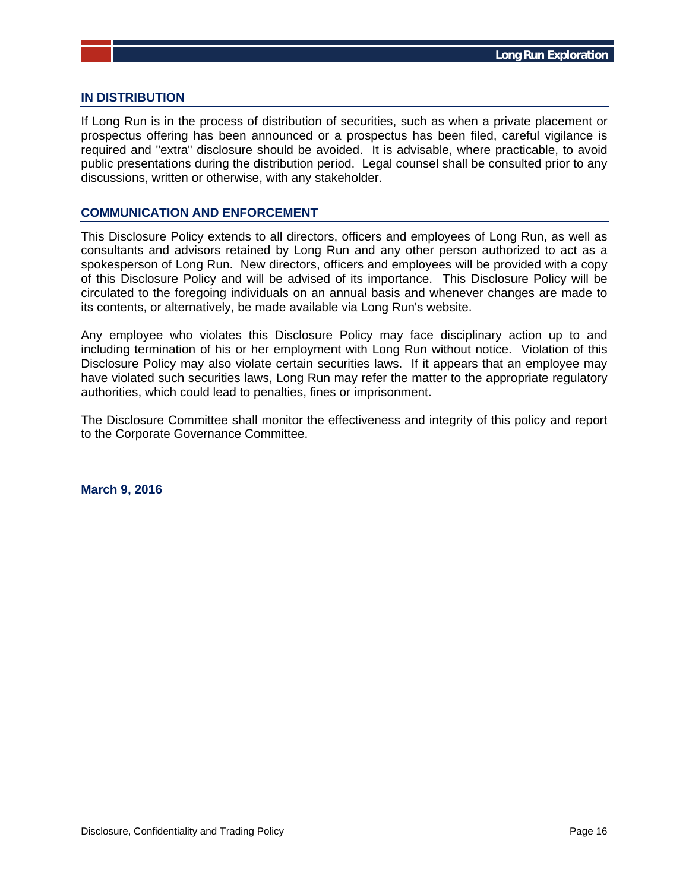#### **IN DISTRIBUTION**

If Long Run is in the process of distribution of securities, such as when a private placement or prospectus offering has been announced or a prospectus has been filed, careful vigilance is required and "extra" disclosure should be avoided. It is advisable, where practicable, to avoid public presentations during the distribution period. Legal counsel shall be consulted prior to any discussions, written or otherwise, with any stakeholder.

#### **COMMUNICATION AND ENFORCEMENT**

This Disclosure Policy extends to all directors, officers and employees of Long Run, as well as consultants and advisors retained by Long Run and any other person authorized to act as a spokesperson of Long Run. New directors, officers and employees will be provided with a copy of this Disclosure Policy and will be advised of its importance. This Disclosure Policy will be circulated to the foregoing individuals on an annual basis and whenever changes are made to its contents, or alternatively, be made available via Long Run's website.

Any employee who violates this Disclosure Policy may face disciplinary action up to and including termination of his or her employment with Long Run without notice. Violation of this Disclosure Policy may also violate certain securities laws. If it appears that an employee may have violated such securities laws, Long Run may refer the matter to the appropriate regulatory authorities, which could lead to penalties, fines or imprisonment.

The Disclosure Committee shall monitor the effectiveness and integrity of this policy and report to the Corporate Governance Committee.

**March 9, 2016**